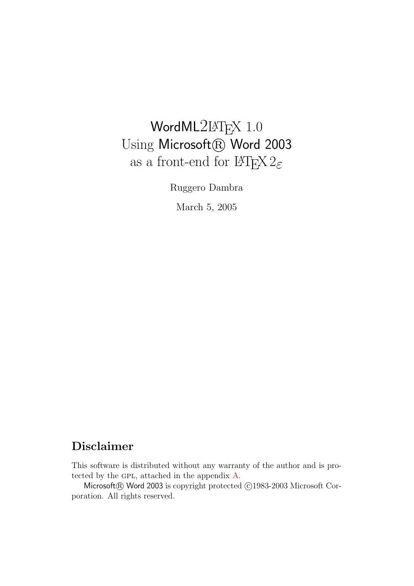# WordML2L<sup>AT</sup>EX 1.0 Using Microsoft® Word 2003 as a front-end for  $\mathbb{M}\text{F}\text{X}\,2_\varepsilon$

Ruggero Dambra

March 5, 2005

# Disclaimer

This software is distributed without any warranty of the author and is pro-tected by the GPL, attached in the appendix [A.](#page-10-0)

Microsoft® Word 2003 is copyright protected ©1983-2003 Microsoft Corporation. All rights reserved.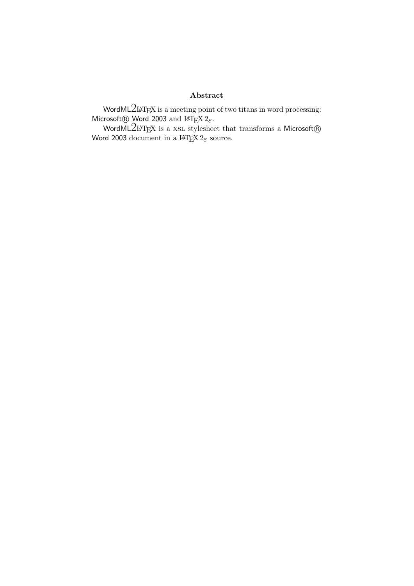### Abstract

WordML $2$ LAT<sub>E</sub>X is a meeting point of two titans in word processing: Microsoft® Word 2003 and L<sup>AT</sup>EX  $2\varepsilon$ .

WordML $2$ LAT<sub>E</sub>X is a XSL stylesheet that transforms a Microsoft® Word 2003 document in a  $\text{LATEX} 2\varepsilon$  source.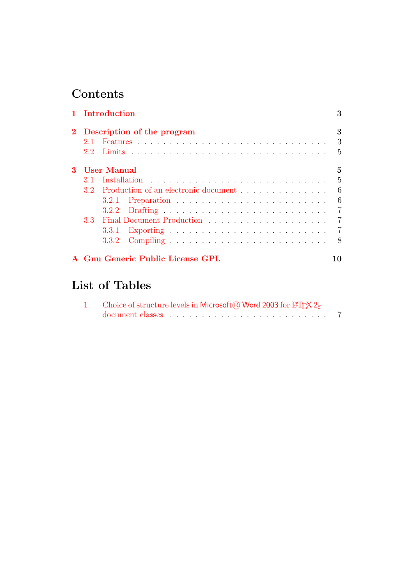# Contents

|    |                              | 1 Introduction                           | 3              |  |  |  |
|----|------------------------------|------------------------------------------|----------------|--|--|--|
|    | 2 Description of the program |                                          |                |  |  |  |
|    | $21^{-}$                     |                                          | 3              |  |  |  |
|    | $2.2^{\circ}$                |                                          | $\overline{5}$ |  |  |  |
| 3. |                              | User Manual                              | 5              |  |  |  |
|    | 3.1                          |                                          | $\frac{5}{2}$  |  |  |  |
|    |                              | 3.2 Production of an electronic document | 6              |  |  |  |
|    |                              |                                          | 6              |  |  |  |
|    |                              |                                          | $\overline{7}$ |  |  |  |
|    | 3.3 <sub>1</sub>             |                                          |                |  |  |  |
|    |                              |                                          | $\overline{7}$ |  |  |  |
|    |                              |                                          | 8              |  |  |  |
|    |                              | A Gnu Generic Public License GPL         | 10             |  |  |  |

# List of Tables

| Choice of structure levels in Microsoft® Word 2003 for L <sup>4</sup> T <sub>F</sub> X $2\varepsilon$ |  |
|-------------------------------------------------------------------------------------------------------|--|
|                                                                                                       |  |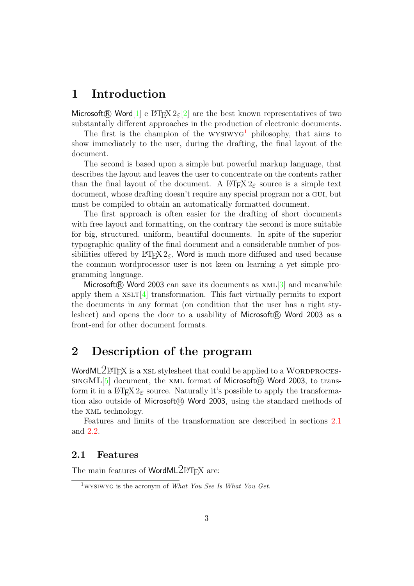## <span id="page-3-0"></span>1 Introduction

Microsoft **R** Word  $[1]$  e LAT<sub>EX</sub>  $2\varepsilon$  2 are the best known representatives of two substantally different approaches in the production of electronic documents.

The first is the champion of the  $WYSIWYG<sup>1</sup>$  $WYSIWYG<sup>1</sup>$  $WYSIWYG<sup>1</sup>$  philosophy, that aims to show immediately to the user, during the drafting, the final layout of the document.

The second is based upon a simple but powerful markup language, that describes the layout and leaves the user to concentrate on the contents rather than the final layout of the document. A  $\text{LATEX2}_{\epsilon}$  source is a simple text document, whose drafting doesn't require any special program nor a gui, but must be compiled to obtain an automatically formatted document.

The first approach is often easier for the drafting of short documents with free layout and formatting, on the contrary the second is more suitable for big, structured, uniform, beautiful documents. In spite of the superior typographic quality of the final document and a considerable number of possibilities offered by LATEX  $2\varepsilon$ , Word is much more diffused and used because the common wordprocessor user is not keen on learning a yet simple programming language.

Microsoft<sup>(R)</sup> Word 2003 can save its documents as  $xML[3]$  $xML[3]$  and meanwhile apply them a  $XSLT[4]$  $XSLT[4]$  transformation. This fact virtually permits to export the documents in any format (on condition that the user has a right stylesheet) and opens the door to a usability of Microsoft $\circledR$  Word 2003 as a front-end for other document formats.

# <span id="page-3-1"></span>2 Description of the program

Word $ML2$ LATEX is a XSL stylesheet that could be applied to a WORDPROCES- $SINGML[5]$  $SINGML[5]$  document, the XML format of Microsoft $\circledR$  Word 2003, to transform it in a  $\angle$ FIEX  $2\varepsilon$  source. Naturally it's possible to apply the transformation also outside of Microsoft® Word 2003, using the standard methods of the xml technology.

Features and limits of the transformation are described in sections [2.1](#page-3-2) and [2.2.](#page-5-0)

### <span id="page-3-2"></span>2.1 Features

The main features of WordML2LAT<sub>EX</sub> are:

<span id="page-3-3"></span><sup>&</sup>lt;sup>1</sup>WYSIWYG is the acronym of *What You See Is What You Get.*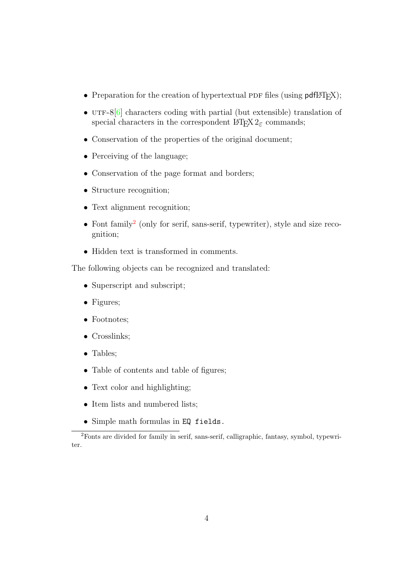- Preparation for the creation of hypertextual PDF files (using  $pdfBTRX)$ ;
- UTF-8 $[6]$  characters coding with partial (but extensible) translation of special characters in the correspondent  $\mathbb{F}\text{Tr} X2_{\varepsilon}$  commands;
- Conservation of the properties of the original document;
- Perceiving of the language;
- Conservation of the page format and borders;
- Structure recognition;
- Text alignment recognition;
- Font family<sup>[2](#page-4-0)</sup> (only for serif, sans-serif, typewriter), style and size recognition;
- Hidden text is transformed in comments.

The following objects can be recognized and translated:

- Superscript and subscript;
- Figures;
- Footnotes;
- Crosslinks;
- Tables;
- Table of contents and table of figures;
- Text color and highlighting;
- Item lists and numbered lists;
- Simple math formulas in EQ fields.

<span id="page-4-0"></span><sup>2</sup>Fonts are divided for family in serif, sans-serif, calligraphic, fantasy, symbol, typewriter.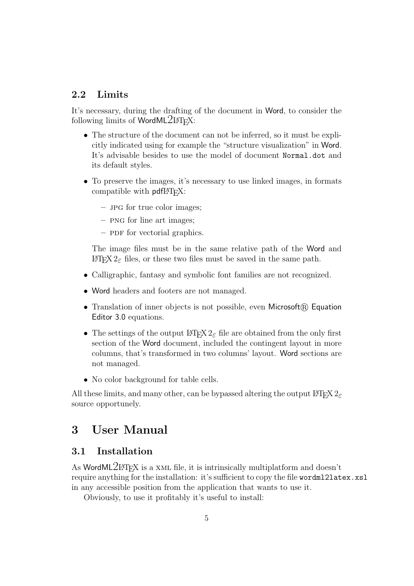## <span id="page-5-0"></span>2.2 Limits

It's necessary, during the drafting of the document in Word, to consider the following limits of WordML $2IFT$ <sub>EX</sub>:

- The structure of the document can not be inferred, so it must be explicitly indicated using for example the "structure visualization" in Word. It's advisable besides to use the model of document Normal.dot and its default styles.
- To preserve the images, it's necessary to use linked images, in formats compatible with  $pdfMTFX$ :
	- jpg for true color images;
	- png for line art images;
	- PDF for vectorial graphics.

The image files must be in the same relative path of the Word and LAT<sub>F</sub>X 2<sub>ε</sub> files, or these two files must be saved in the same path.

- Calligraphic, fantasy and symbolic font families are not recognized.
- Word headers and footers are not managed.
- Translation of inner objects is not possible, even Microsoft $(\mathbb{R})$  Equation Editor 3.0 equations.
- The settings of the output  $\mathbb{P}\text{Tr}X \, 2\varepsilon$  file are obtained from the only first section of the Word document, included the contingent layout in more columns, that's transformed in two columns' layout. Word sections are not managed.
- No color background for table cells.

All these limits, and many other, can be bypassed altering the output LATEX  $2\varepsilon$ source opportunely.

## <span id="page-5-1"></span>3 User Manual

## <span id="page-5-2"></span>3.1 Installation

As WordML2LAT<sub>EX</sub> is a XML file, it is intrinsically multiplatform and doesn't require anything for the installation: it's sufficient to copy the file wordml2latex.xsl in any accessible position from the application that wants to use it.

Obviously, to use it profitably it's useful to install: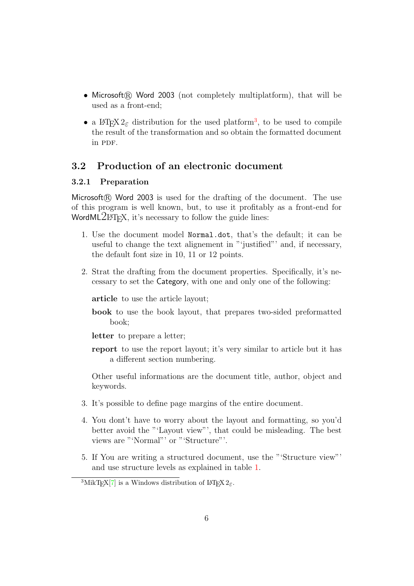- Microsoft $(\widehat{R})$  Word 2003 (not completely multiplatform), that will be used as a front-end;
- a  $\mathbb{P}\text{Tr} X 2_{\varepsilon}$  distribution for the used platform<sup>[3](#page-6-2)</sup>, to be used to compile the result of the transformation and so obtain the formatted document in PDF.

## <span id="page-6-0"></span>3.2 Production of an electronic document

#### <span id="page-6-1"></span>3.2.1 Preparation

Microsoft $\mathbb R$  Word 2003 is used for the drafting of the document. The use of this program is well known, but, to use it profitably as a front-end for WordML $2IFT$ <sub>EX</sub>, it's necessary to follow the guide lines:

- 1. Use the document model Normal.dot, that's the default; it can be useful to change the text alignement in "'justified"' and, if necessary, the default font size in 10, 11 or 12 points.
- 2. Strat the drafting from the document properties. Specifically, it's necessary to set the Category, with one and only one of the following:

article to use the article layout;

book to use the book layout, that prepares two-sided preformatted book;

letter to prepare a letter;

report to use the report layout; it's very similar to article but it has a different section numbering.

Other useful informations are the document title, author, object and keywords.

- 3. It's possible to define page margins of the entire document.
- 4. You dont't have to worry about the layout and formatting, so you'd better avoid the "'Layout view"', that could be misleading. The best views are "'Normal"' or "'Structure"'.
- 5. If You are writing a structured document, use the "'Structure view"' and use structure levels as explained in table [1.](#page-7-3)

<span id="page-6-2"></span><sup>&</sup>lt;sup>3</sup>MikT<sub>E</sub>X[\[7\]](#page-9-6) is a Windows distribution of L<sup>4</sup>T<sub>E</sub>X 2<sub> $\varepsilon$ </sub>.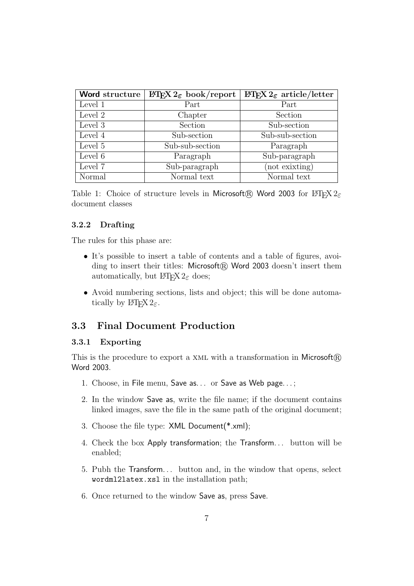| Word structure | $\mathbb{P}\mathbb{F} \times 2_{\varepsilon}$ book/report | $\angle E$ FRX $2_{\epsilon}$ article/letter |
|----------------|-----------------------------------------------------------|----------------------------------------------|
| Level 1        | Part                                                      | Part                                         |
| Level 2        | Chapter                                                   | Section                                      |
| Level 3        | Section                                                   | Sub-section                                  |
| Level 4        | Sub-section                                               | Sub-sub-section                              |
| Level 5        | Sub-sub-section                                           | Paragraph                                    |
| Level 6        | Paragraph                                                 | Sub-paragraph                                |
| Level 7        | Sub-paragraph                                             | (not exixting)                               |
| Normal         | Normal text                                               | Normal text                                  |

<span id="page-7-3"></span>Table 1: Choice of structure levels in Microsoft® Word 2003 for L<sup>AT</sup>EX  $2\varepsilon$ document classes

#### <span id="page-7-0"></span>3.2.2 Drafting

The rules for this phase are:

- It's possible to insert a table of contents and a table of figures, avoi- $\text{diag}$  to insert their titles: Microsoft $\mathbb{R}$  Word 2003 doesn't insert them automatically, but  $\text{LATEX} 2_{\epsilon}$  does;
- Avoid numbering sections, lists and object; this will be done automatically by  $\text{LFTF}X2_{\varepsilon}$ .

### <span id="page-7-1"></span>3.3 Final Document Production

#### <span id="page-7-2"></span>3.3.1 Exporting

This is the procedure to export a XML with a transformation in Microsoft $(\mathbb{R})$ Word 2003.

- 1. Choose, in File menu, Save as. . . or Save as Web page. . . ;
- 2. In the window Save as, write the file name; if the document contains linked images, save the file in the same path of the original document;
- 3. Choose the file type: XML Document(\*.xml);
- 4. Check the box Apply transformation; the Transform. . . button will be enabled;
- 5. Pubh the Transform. . . button and, in the window that opens, select wordml2latex.xsl in the installation path;
- 6. Once returned to the window Save as, press Save.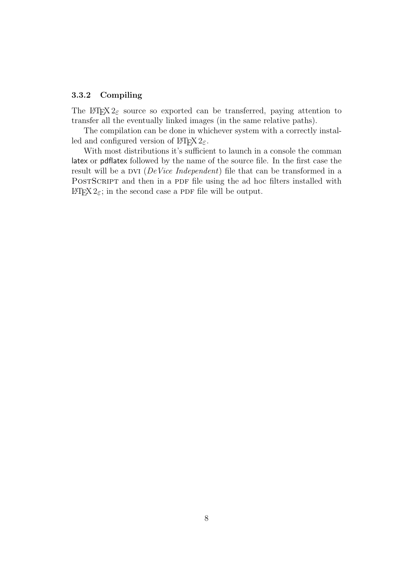#### <span id="page-8-0"></span>3.3.2 Compiling

The LATEX  $2\varepsilon$  source so exported can be transferred, paying attention to transfer all the eventually linked images (in the same relative paths).

The compilation can be done in whichever system with a correctly installed and configured version of  $\angle MFX2_{\epsilon}$ .

With most distributions it's sufficient to launch in a console the comman latex or pdflatex followed by the name of the source file. In the first case the result will be a DVI ( $DeVice$  Independent) file that can be transformed in a POSTSCRIPT and then in a PDF file using the ad hoc filters installed with LAT<sub>E</sub>X 2<sub>ε</sub>; in the second case a PDF file will be output.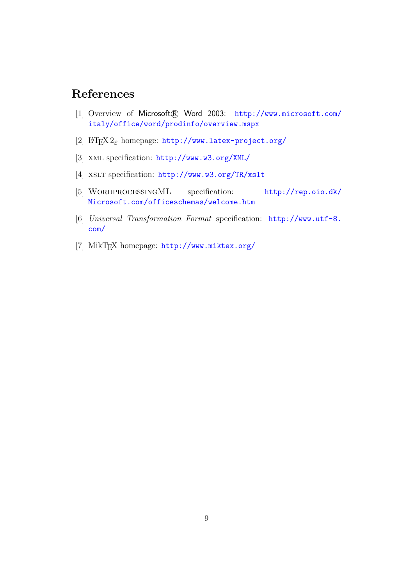# References

- <span id="page-9-0"></span>[1] Overview of Microsoft® Word 2003: [http://www.microsoft.com/](http://www.microsoft.com/italy/office/word/prodinfo/overview.mspx) [italy/office/word/prodinfo/overview.mspx](http://www.microsoft.com/italy/office/word/prodinfo/overview.mspx)
- <span id="page-9-1"></span>[2] LAT<sub>E</sub>X  $2_{\varepsilon}$  homepage: <http://www.latex-project.org/>
- <span id="page-9-2"></span>[3] xml specification: <http://www.w3.org/XML/>
- <span id="page-9-3"></span>[4] XSLT specification: <http://www.w3.org/TR/xslt>
- <span id="page-9-4"></span>[5] WordprocessingML specification: [http://rep.oio.dk/](http://rep.oio.dk/Microsoft.com/officeschemas/welcome.htm) [Microsoft.com/officeschemas/welcome.htm](http://rep.oio.dk/Microsoft.com/officeschemas/welcome.htm)
- <span id="page-9-5"></span>[6] Universal Transformation Format specification: [http://www.utf-8.](http://www.utf-8.com/) [com/](http://www.utf-8.com/)
- <span id="page-9-6"></span>[7] MikTEX homepage: <http://www.miktex.org/>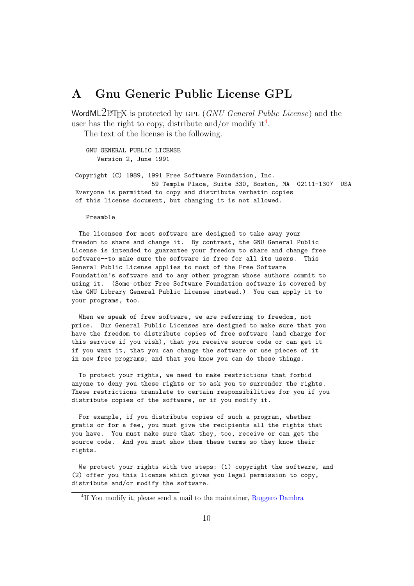## <span id="page-10-0"></span>A Gnu Generic Public License GPL

WordML2LATEX is protected by GPL (GNU General Public License) and the user has the right to copy, distribute and/or modify it<sup>[4](#page-10-1)</sup>.

The text of the license is the following.

GNU GENERAL PUBLIC LICENSE Version 2, June 1991

Copyright (C) 1989, 1991 Free Software Foundation, Inc. 59 Temple Place, Suite 330, Boston, MA 02111-1307 USA Everyone is permitted to copy and distribute verbatim copies of this license document, but changing it is not allowed.

Preamble

The licenses for most software are designed to take away your freedom to share and change it. By contrast, the GNU General Public License is intended to guarantee your freedom to share and change free software--to make sure the software is free for all its users. This General Public License applies to most of the Free Software Foundation's software and to any other program whose authors commit to using it. (Some other Free Software Foundation software is covered by the GNU Library General Public License instead.) You can apply it to your programs, too.

When we speak of free software, we are referring to freedom, not price. Our General Public Licenses are designed to make sure that you have the freedom to distribute copies of free software (and charge for this service if you wish), that you receive source code or can get it if you want it, that you can change the software or use pieces of it in new free programs; and that you know you can do these things.

To protect your rights, we need to make restrictions that forbid anyone to deny you these rights or to ask you to surrender the rights. These restrictions translate to certain responsibilities for you if you distribute copies of the software, or if you modify it.

For example, if you distribute copies of such a program, whether gratis or for a fee, you must give the recipients all the rights that you have. You must make sure that they, too, receive or can get the source code. And you must show them these terms so they know their rights.

We protect your rights with two steps: (1) copyright the software, and (2) offer you this license which gives you legal permission to copy, distribute and/or modify the software.

<span id="page-10-1"></span><sup>&</sup>lt;sup>4</sup>If You modify it, please send a mail to the maintainer, [Ruggero Dambra](mailto:ruggdam@fastwebnet.it)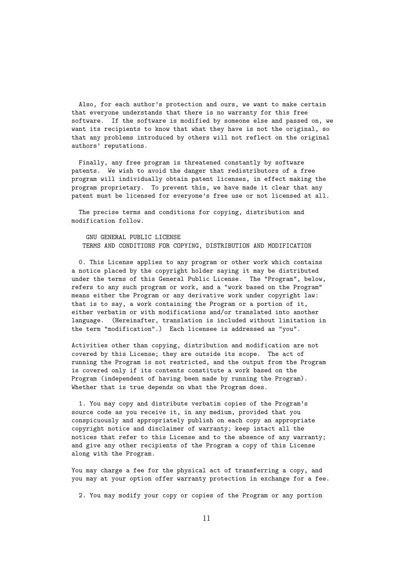Also, for each author's protection and ours, we want to make certain that everyone understands that there is no warranty for this free software. If the software is modified by someone else and passed on, we want its recipients to know that what they have is not the original, so that any problems introduced by others will not reflect on the original authors' reputations.

Finally, any free program is threatened constantly by software patents. We wish to avoid the danger that redistributors of a free program will individually obtain patent licenses, in effect making the program proprietary. To prevent this, we have made it clear that any patent must be licensed for everyone's free use or not licensed at all.

The precise terms and conditions for copying, distribution and modification follow.

GNU GENERAL PUBLIC LICENSE TERMS AND CONDITIONS FOR COPYING, DISTRIBUTION AND MODIFICATION

0. This License applies to any program or other work which contains a notice placed by the copyright holder saying it may be distributed under the terms of this General Public License. The "Program", below, refers to any such program or work, and a "work based on the Program" means either the Program or any derivative work under copyright law: that is to say, a work containing the Program or a portion of it, either verbatim or with modifications and/or translated into another language. (Hereinafter, translation is included without limitation in the term "modification".) Each licensee is addressed as "you".

Activities other than copying, distribution and modification are not covered by this License; they are outside its scope. The act of running the Program is not restricted, and the output from the Program is covered only if its contents constitute a work based on the Program (independent of having been made by running the Program). Whether that is true depends on what the Program does.

1. You may copy and distribute verbatim copies of the Program's source code as you receive it, in any medium, provided that you conspicuously and appropriately publish on each copy an appropriate copyright notice and disclaimer of warranty; keep intact all the notices that refer to this License and to the absence of any warranty; and give any other recipients of the Program a copy of this License along with the Program.

You may charge a fee for the physical act of transferring a copy, and you may at your option offer warranty protection in exchange for a fee.

2. You may modify your copy or copies of the Program or any portion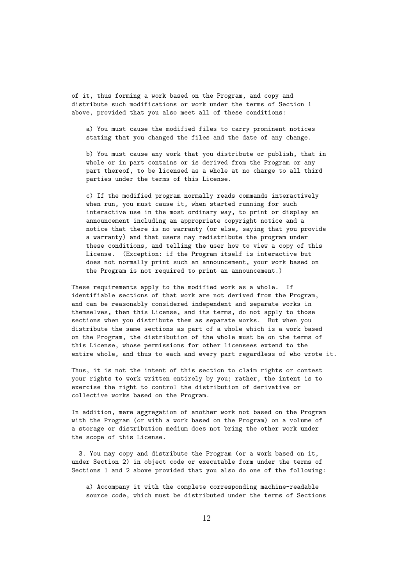of it, thus forming a work based on the Program, and copy and distribute such modifications or work under the terms of Section 1 above, provided that you also meet all of these conditions:

a) You must cause the modified files to carry prominent notices stating that you changed the files and the date of any change.

b) You must cause any work that you distribute or publish, that in whole or in part contains or is derived from the Program or any part thereof, to be licensed as a whole at no charge to all third parties under the terms of this License.

c) If the modified program normally reads commands interactively when run, you must cause it, when started running for such interactive use in the most ordinary way, to print or display an announcement including an appropriate copyright notice and a notice that there is no warranty (or else, saying that you provide a warranty) and that users may redistribute the program under these conditions, and telling the user how to view a copy of this License. (Exception: if the Program itself is interactive but does not normally print such an announcement, your work based on the Program is not required to print an announcement.)

These requirements apply to the modified work as a whole. If identifiable sections of that work are not derived from the Program, and can be reasonably considered independent and separate works in themselves, then this License, and its terms, do not apply to those sections when you distribute them as separate works. But when you distribute the same sections as part of a whole which is a work based on the Program, the distribution of the whole must be on the terms of this License, whose permissions for other licensees extend to the entire whole, and thus to each and every part regardless of who wrote it.

Thus, it is not the intent of this section to claim rights or contest your rights to work written entirely by you; rather, the intent is to exercise the right to control the distribution of derivative or collective works based on the Program.

In addition, mere aggregation of another work not based on the Program with the Program (or with a work based on the Program) on a volume of a storage or distribution medium does not bring the other work under the scope of this License.

3. You may copy and distribute the Program (or a work based on it, under Section 2) in object code or executable form under the terms of Sections 1 and 2 above provided that you also do one of the following:

a) Accompany it with the complete corresponding machine-readable source code, which must be distributed under the terms of Sections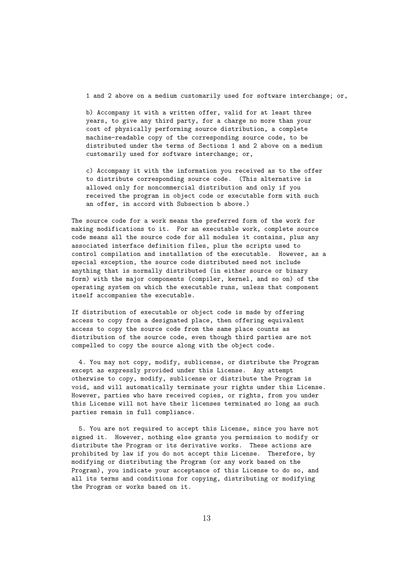1 and 2 above on a medium customarily used for software interchange; or,

b) Accompany it with a written offer, valid for at least three years, to give any third party, for a charge no more than your cost of physically performing source distribution, a complete machine-readable copy of the corresponding source code, to be distributed under the terms of Sections 1 and 2 above on a medium customarily used for software interchange; or,

c) Accompany it with the information you received as to the offer to distribute corresponding source code. (This alternative is allowed only for noncommercial distribution and only if you received the program in object code or executable form with such an offer, in accord with Subsection b above.)

The source code for a work means the preferred form of the work for making modifications to it. For an executable work, complete source code means all the source code for all modules it contains, plus any associated interface definition files, plus the scripts used to control compilation and installation of the executable. However, as a special exception, the source code distributed need not include anything that is normally distributed (in either source or binary form) with the major components (compiler, kernel, and so on) of the operating system on which the executable runs, unless that component itself accompanies the executable.

If distribution of executable or object code is made by offering access to copy from a designated place, then offering equivalent access to copy the source code from the same place counts as distribution of the source code, even though third parties are not compelled to copy the source along with the object code.

4. You may not copy, modify, sublicense, or distribute the Program except as expressly provided under this License. Any attempt otherwise to copy, modify, sublicense or distribute the Program is void, and will automatically terminate your rights under this License. However, parties who have received copies, or rights, from you under this License will not have their licenses terminated so long as such parties remain in full compliance.

5. You are not required to accept this License, since you have not signed it. However, nothing else grants you permission to modify or distribute the Program or its derivative works. These actions are prohibited by law if you do not accept this License. Therefore, by modifying or distributing the Program (or any work based on the Program), you indicate your acceptance of this License to do so, and all its terms and conditions for copying, distributing or modifying the Program or works based on it.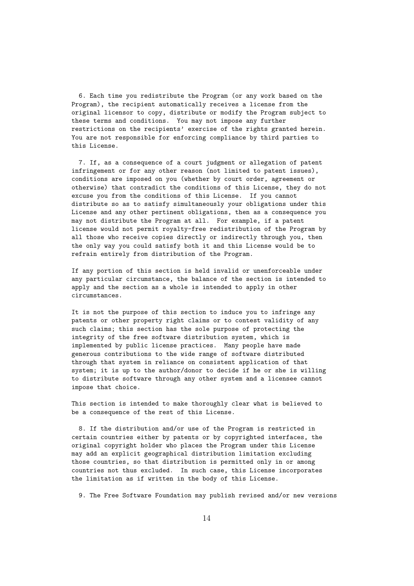6. Each time you redistribute the Program (or any work based on the Program), the recipient automatically receives a license from the original licensor to copy, distribute or modify the Program subject to these terms and conditions. You may not impose any further restrictions on the recipients' exercise of the rights granted herein. You are not responsible for enforcing compliance by third parties to this License.

7. If, as a consequence of a court judgment or allegation of patent infringement or for any other reason (not limited to patent issues), conditions are imposed on you (whether by court order, agreement or otherwise) that contradict the conditions of this License, they do not excuse you from the conditions of this License. If you cannot distribute so as to satisfy simultaneously your obligations under this License and any other pertinent obligations, then as a consequence you may not distribute the Program at all. For example, if a patent license would not permit royalty-free redistribution of the Program by all those who receive copies directly or indirectly through you, then the only way you could satisfy both it and this License would be to refrain entirely from distribution of the Program.

If any portion of this section is held invalid or unenforceable under any particular circumstance, the balance of the section is intended to apply and the section as a whole is intended to apply in other circumstances.

It is not the purpose of this section to induce you to infringe any patents or other property right claims or to contest validity of any such claims; this section has the sole purpose of protecting the integrity of the free software distribution system, which is implemented by public license practices. Many people have made generous contributions to the wide range of software distributed through that system in reliance on consistent application of that system; it is up to the author/donor to decide if he or she is willing to distribute software through any other system and a licensee cannot impose that choice.

This section is intended to make thoroughly clear what is believed to be a consequence of the rest of this License.

8. If the distribution and/or use of the Program is restricted in certain countries either by patents or by copyrighted interfaces, the original copyright holder who places the Program under this License may add an explicit geographical distribution limitation excluding those countries, so that distribution is permitted only in or among countries not thus excluded. In such case, this License incorporates the limitation as if written in the body of this License.

9. The Free Software Foundation may publish revised and/or new versions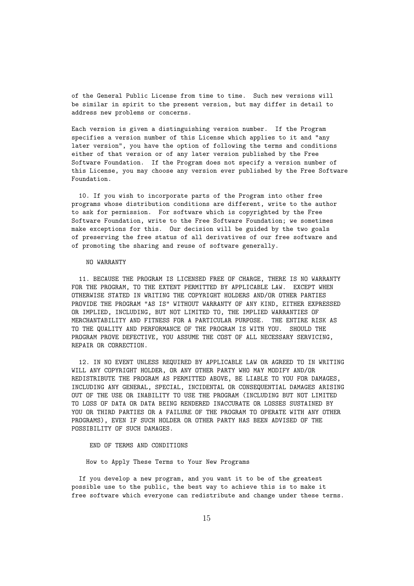of the General Public License from time to time. Such new versions will be similar in spirit to the present version, but may differ in detail to address new problems or concerns.

Each version is given a distinguishing version number. If the Program specifies a version number of this License which applies to it and "any later version", you have the option of following the terms and conditions either of that version or of any later version published by the Free Software Foundation. If the Program does not specify a version number of this License, you may choose any version ever published by the Free Software Foundation.

10. If you wish to incorporate parts of the Program into other free programs whose distribution conditions are different, write to the author to ask for permission. For software which is copyrighted by the Free Software Foundation, write to the Free Software Foundation; we sometimes make exceptions for this. Our decision will be guided by the two goals of preserving the free status of all derivatives of our free software and of promoting the sharing and reuse of software generally.

#### NO WARRANTY

11. BECAUSE THE PROGRAM IS LICENSED FREE OF CHARGE, THERE IS NO WARRANTY FOR THE PROGRAM, TO THE EXTENT PERMITTED BY APPLICABLE LAW. EXCEPT WHEN OTHERWISE STATED IN WRITING THE COPYRIGHT HOLDERS AND/OR OTHER PARTIES PROVIDE THE PROGRAM "AS IS" WITHOUT WARRANTY OF ANY KIND, EITHER EXPRESSED OR IMPLIED, INCLUDING, BUT NOT LIMITED TO, THE IMPLIED WARRANTIES OF MERCHANTABILITY AND FITNESS FOR A PARTICULAR PURPOSE. THE ENTIRE RISK AS TO THE QUALITY AND PERFORMANCE OF THE PROGRAM IS WITH YOU. SHOULD THE PROGRAM PROVE DEFECTIVE, YOU ASSUME THE COST OF ALL NECESSARY SERVICING, REPAIR OR CORRECTION.

12. IN NO EVENT UNLESS REQUIRED BY APPLICABLE LAW OR AGREED TO IN WRITING WILL ANY COPYRIGHT HOLDER, OR ANY OTHER PARTY WHO MAY MODIFY AND/OR REDISTRIBUTE THE PROGRAM AS PERMITTED ABOVE, BE LIABLE TO YOU FOR DAMAGES, INCLUDING ANY GENERAL, SPECIAL, INCIDENTAL OR CONSEQUENTIAL DAMAGES ARISING OUT OF THE USE OR INABILITY TO USE THE PROGRAM (INCLUDING BUT NOT LIMITED TO LOSS OF DATA OR DATA BEING RENDERED INACCURATE OR LOSSES SUSTAINED BY YOU OR THIRD PARTIES OR A FAILURE OF THE PROGRAM TO OPERATE WITH ANY OTHER PROGRAMS), EVEN IF SUCH HOLDER OR OTHER PARTY HAS BEEN ADVISED OF THE POSSIBILITY OF SUCH DAMAGES.

#### END OF TERMS AND CONDITIONS

How to Apply These Terms to Your New Programs

If you develop a new program, and you want it to be of the greatest possible use to the public, the best way to achieve this is to make it free software which everyone can redistribute and change under these terms.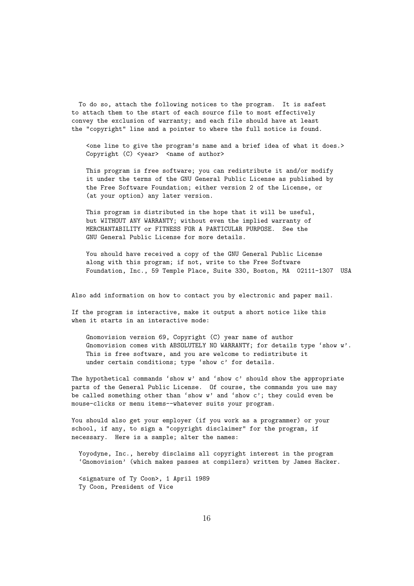To do so, attach the following notices to the program. It is safest to attach them to the start of each source file to most effectively convey the exclusion of warranty; and each file should have at least the "copyright" line and a pointer to where the full notice is found.

<one line to give the program's name and a brief idea of what it does.> Copyright (C) <year> <name of author>

This program is free software; you can redistribute it and/or modify it under the terms of the GNU General Public License as published by the Free Software Foundation; either version 2 of the License, or (at your option) any later version.

This program is distributed in the hope that it will be useful, but WITHOUT ANY WARRANTY; without even the implied warranty of MERCHANTABILITY or FITNESS FOR A PARTICULAR PURPOSE. See the GNU General Public License for more details.

You should have received a copy of the GNU General Public License along with this program; if not, write to the Free Software Foundation, Inc., 59 Temple Place, Suite 330, Boston, MA 02111-1307 USA

Also add information on how to contact you by electronic and paper mail.

If the program is interactive, make it output a short notice like this when it starts in an interactive mode:

Gnomovision version 69, Copyright (C) year name of author Gnomovision comes with ABSOLUTELY NO WARRANTY; for details type 'show w'. This is free software, and you are welcome to redistribute it under certain conditions; type 'show c' for details.

The hypothetical commands 'show w' and 'show c' should show the appropriate parts of the General Public License. Of course, the commands you use may be called something other than 'show w' and 'show c'; they could even be mouse-clicks or menu items--whatever suits your program.

You should also get your employer (if you work as a programmer) or your school, if any, to sign a "copyright disclaimer" for the program, if necessary. Here is a sample; alter the names:

Yoyodyne, Inc., hereby disclaims all copyright interest in the program 'Gnomovision' (which makes passes at compilers) written by James Hacker.

<signature of Ty Coon>, 1 April 1989 Ty Coon, President of Vice